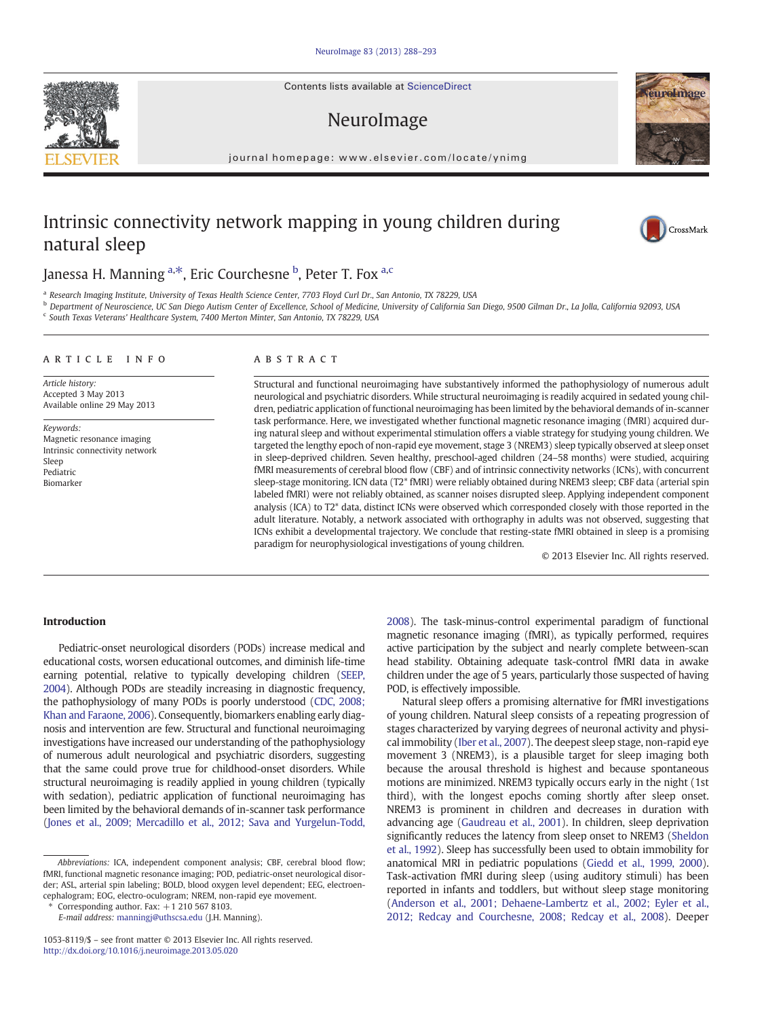Contents lists available at ScienceDirect

## NeuroImage

journal homepage: www.elsevier.com/locate/ynimg

# Intrinsic connectivity network mapping in young children during natural sleep

Janessa H. Manning <sup>a,\*</sup>, Eric Courchesne <sup>b</sup>, Peter T. Fox <sup>a,c</sup>

<sup>a</sup> Research Imaging Institute, University of Texas Health Science Center, 7703 Floyd Curl Dr., San Antonio, TX 78229, USA

<sup>b</sup> Department of Neuroscience, UC San Diego Autism Center of Excellence, School of Medicine, University of California San Diego, 9500 Gilman Dr., La Jolla, California 92093, USA

<sup>c</sup> South Texas Veterans' Healthcare System, 7400 Merton Minter, San Antonio, TX 78229, USA

#### article info abstract

Article history: Accepted 3 May 2013 Available online 29 May 2013

Keywords: Magnetic resonance imaging Intrinsic connectivity network Sleep Pediatric Biomarker

Structural and functional neuroimaging have substantively informed the pathophysiology of numerous adult neurological and psychiatric disorders. While structural neuroimaging is readily acquired in sedated young children, pediatric application of functional neuroimaging has been limited by the behavioral demands of in-scanner task performance. Here, we investigated whether functional magnetic resonance imaging (fMRI) acquired during natural sleep and without experimental stimulation offers a viable strategy for studying young children. We targeted the lengthy epoch of non-rapid eye movement, stage 3 (NREM3) sleep typically observed at sleep onset in sleep-deprived children. Seven healthy, preschool-aged children (24–58 months) were studied, acquiring fMRI measurements of cerebral blood flow (CBF) and of intrinsic connectivity networks (ICNs), with concurrent sleep-stage monitoring. ICN data (T2\* fMRI) were reliably obtained during NREM3 sleep; CBF data (arterial spin labeled fMRI) were not reliably obtained, as scanner noises disrupted sleep. Applying independent component analysis (ICA) to T2\* data, distinct ICNs were observed which corresponded closely with those reported in the adult literature. Notably, a network associated with orthography in adults was not observed, suggesting that ICNs exhibit a developmental trajectory. We conclude that resting-state fMRI obtained in sleep is a promising paradigm for neurophysiological investigations of young children.

© 2013 Elsevier Inc. All rights reserved.

#### Introduction

Pediatric-onset neurological disorders (PODs) increase medical and educational costs, worsen educational outcomes, and diminish life-time earning potential, relative to typically developing children [\(SEEP,](#page-5-0) [2004](#page-5-0)). Although PODs are steadily increasing in diagnostic frequency, the pathophysiology of many PODs is poorly understood [\(CDC, 2008;](#page-5-0) [Khan and Faraone, 2006](#page-5-0)). Consequently, biomarkers enabling early diagnosis and intervention are few. Structural and functional neuroimaging investigations have increased our understanding of the pathophysiology of numerous adult neurological and psychiatric disorders, suggesting that the same could prove true for childhood-onset disorders. While structural neuroimaging is readily applied in young children (typically with sedation), pediatric application of functional neuroimaging has been limited by the behavioral demands of in-scanner task performance [\(Jones et al., 2009; Mercadillo et al., 2012; Sava and Yurgelun-Todd,](#page-5-0)

Corresponding author. Fax:  $+1$  210 567 8103.

E-mail address: [manningj@uthscsa.edu](mailto:manningj@uthscsa.edu) (J.H. Manning).

[2008](#page-5-0)). The task-minus-control experimental paradigm of functional magnetic resonance imaging (fMRI), as typically performed, requires active participation by the subject and nearly complete between-scan head stability. Obtaining adequate task-control fMRI data in awake children under the age of 5 years, particularly those suspected of having POD, is effectively impossible.

Natural sleep offers a promising alternative for fMRI investigations of young children. Natural sleep consists of a repeating progression of stages characterized by varying degrees of neuronal activity and physical immobility [\(Iber et al., 2007\)](#page-5-0). The deepest sleep stage, non-rapid eye movement 3 (NREM3), is a plausible target for sleep imaging both because the arousal threshold is highest and because spontaneous motions are minimized. NREM3 typically occurs early in the night (1st third), with the longest epochs coming shortly after sleep onset. NREM3 is prominent in children and decreases in duration with advancing age ([Gaudreau et al., 2001\)](#page-5-0). In children, sleep deprivation significantly reduces the latency from sleep onset to NREM3 [\(Sheldon](#page-5-0) [et al., 1992\)](#page-5-0). Sleep has successfully been used to obtain immobility for anatomical MRI in pediatric populations ([Giedd et al., 1999, 2000\)](#page-5-0). Task-activation fMRI during sleep (using auditory stimuli) has been reported in infants and toddlers, but without sleep stage monitoring [\(Anderson et al., 2001; Dehaene-Lambertz et al., 2002; Eyler et al.,](#page-5-0) [2012; Redcay and Courchesne, 2008; Redcay et al., 2008\)](#page-5-0). Deeper





CrossMark

Abbreviations: ICA, independent component analysis; CBF, cerebral blood flow; fMRI, functional magnetic resonance imaging; POD, pediatric-onset neurological disorder; ASL, arterial spin labeling; BOLD, blood oxygen level dependent; EEG, electroencephalogram; EOG, electro-oculogram; NREM, non-rapid eye movement.

<sup>1053-8119/\$</sup> – see front matter © 2013 Elsevier Inc. All rights reserved. <http://dx.doi.org/10.1016/j.neuroimage.2013.05.020>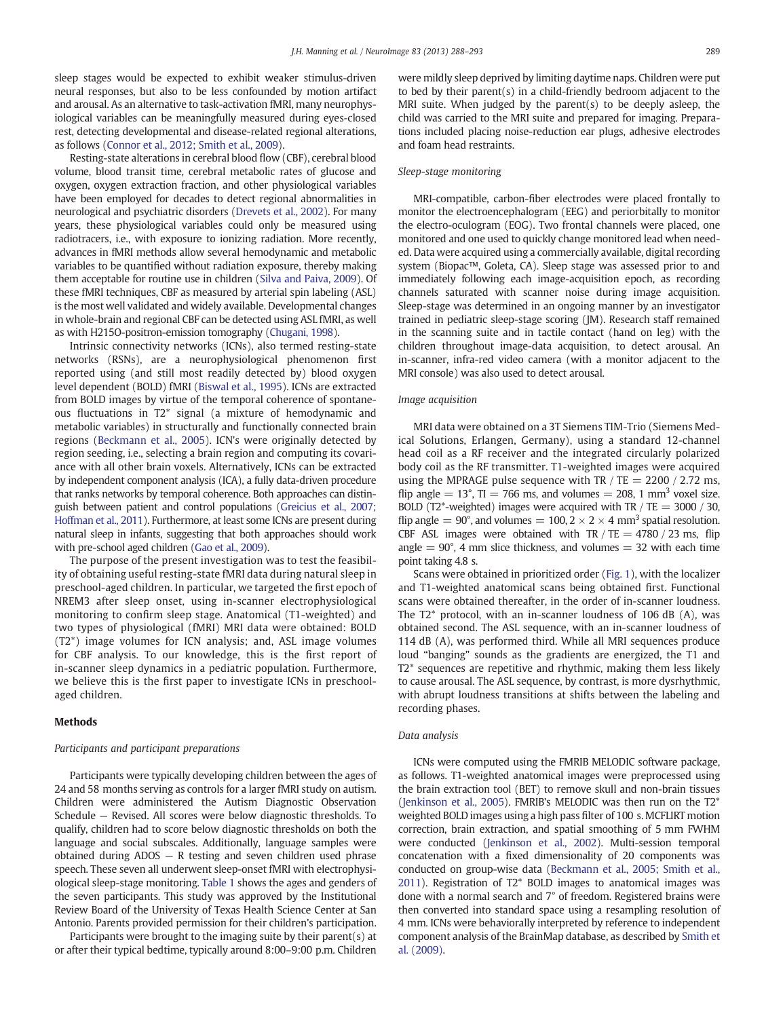sleep stages would be expected to exhibit weaker stimulus-driven neural responses, but also to be less confounded by motion artifact and arousal. As an alternative to task-activation fMRI, many neurophysiological variables can be meaningfully measured during eyes-closed rest, detecting developmental and disease-related regional alterations, as follows [\(Connor et al., 2012; Smith et al., 2009\)](#page-5-0).

Resting-state alterations in cerebral blood flow (CBF), cerebral blood volume, blood transit time, cerebral metabolic rates of glucose and oxygen, oxygen extraction fraction, and other physiological variables have been employed for decades to detect regional abnormalities in neurological and psychiatric disorders ([Drevets et al., 2002](#page-5-0)). For many years, these physiological variables could only be measured using radiotracers, i.e., with exposure to ionizing radiation. More recently, advances in fMRI methods allow several hemodynamic and metabolic variables to be quantified without radiation exposure, thereby making them acceptable for routine use in children ([Silva and Paiva, 2009](#page-5-0)). Of these fMRI techniques, CBF as measured by arterial spin labeling (ASL) is the most well validated and widely available. Developmental changes in whole-brain and regional CBF can be detected using ASL fMRI, as well as with H215O-positron-emission tomography [\(Chugani, 1998\)](#page-5-0).

Intrinsic connectivity networks (ICNs), also termed resting-state networks (RSNs), are a neurophysiological phenomenon first reported using (and still most readily detected by) blood oxygen level dependent (BOLD) fMRI ([Biswal et al., 1995](#page-5-0)). ICNs are extracted from BOLD images by virtue of the temporal coherence of spontaneous fluctuations in T2\* signal (a mixture of hemodynamic and metabolic variables) in structurally and functionally connected brain regions [\(Beckmann et al., 2005\)](#page-5-0). ICN's were originally detected by region seeding, i.e., selecting a brain region and computing its covariance with all other brain voxels. Alternatively, ICNs can be extracted by independent component analysis (ICA), a fully data-driven procedure that ranks networks by temporal coherence. Both approaches can distinguish between patient and control populations [\(Greicius et al., 2007;](#page-5-0) [Hoffman et al., 2011\)](#page-5-0). Furthermore, at least some ICNs are present during natural sleep in infants, suggesting that both approaches should work with pre-school aged children [\(Gao et al., 2009](#page-5-0)).

The purpose of the present investigation was to test the feasibility of obtaining useful resting-state fMRI data during natural sleep in preschool-aged children. In particular, we targeted the first epoch of NREM3 after sleep onset, using in-scanner electrophysiological monitoring to confirm sleep stage. Anatomical (T1-weighted) and two types of physiological (fMRI) MRI data were obtained: BOLD (T2\*) image volumes for ICN analysis; and, ASL image volumes for CBF analysis. To our knowledge, this is the first report of in-scanner sleep dynamics in a pediatric population. Furthermore, we believe this is the first paper to investigate ICNs in preschoolaged children.

#### Methods

#### Participants and participant preparations

Participants were typically developing children between the ages of 24 and 58 months serving as controls for a larger fMRI study on autism. Children were administered the Autism Diagnostic Observation Schedule — Revised. All scores were below diagnostic thresholds. To qualify, children had to score below diagnostic thresholds on both the language and social subscales. Additionally, language samples were obtained during ADOS — R testing and seven children used phrase speech. These seven all underwent sleep-onset fMRI with electrophysiological sleep-stage monitoring. [Table 1](#page-2-0) shows the ages and genders of the seven participants. This study was approved by the Institutional Review Board of the University of Texas Health Science Center at San Antonio. Parents provided permission for their children's participation.

Participants were brought to the imaging suite by their parent(s) at or after their typical bedtime, typically around 8:00–9:00 p.m. Children were mildly sleep deprived by limiting daytime naps. Children were put to bed by their parent(s) in a child-friendly bedroom adjacent to the MRI suite. When judged by the parent(s) to be deeply asleep, the child was carried to the MRI suite and prepared for imaging. Preparations included placing noise-reduction ear plugs, adhesive electrodes and foam head restraints.

### Sleep-stage monitoring

MRI-compatible, carbon-fiber electrodes were placed frontally to monitor the electroencephalogram (EEG) and periorbitally to monitor the electro-oculogram (EOG). Two frontal channels were placed, one monitored and one used to quickly change monitored lead when needed. Data were acquired using a commercially available, digital recording system (Biopac™, Goleta, CA). Sleep stage was assessed prior to and immediately following each image-acquisition epoch, as recording channels saturated with scanner noise during image acquisition. Sleep-stage was determined in an ongoing manner by an investigator trained in pediatric sleep-stage scoring (JM). Research staff remained in the scanning suite and in tactile contact (hand on leg) with the children throughout image-data acquisition, to detect arousal. An in-scanner, infra-red video camera (with a monitor adjacent to the MRI console) was also used to detect arousal.

#### Image acquisition

MRI data were obtained on a 3T Siemens TIM-Trio (Siemens Medical Solutions, Erlangen, Germany), using a standard 12-channel head coil as a RF receiver and the integrated circularly polarized body coil as the RF transmitter. T1-weighted images were acquired using the MPRAGE pulse sequence with TR  $/$  TE = 2200  $/$  2.72 ms, flip angle  $= 13^{\circ}$ , TI  $= 766$  ms, and volumes  $= 208$ , 1 mm<sup>3</sup> voxel size. BOLD (T2\*-weighted) images were acquired with TR / TE =  $3000$  / 30, flip angle =  $90^{\circ}$ , and volumes =  $100$ ,  $2 \times 2 \times 4$  mm<sup>3</sup> spatial resolution. CBF ASL images were obtained with TR  $/$  TE = 4780  $/$  23 ms, flip angle  $= 90^{\circ}$ , 4 mm slice thickness, and volumes  $= 32$  with each time point taking 4.8 s.

Scans were obtained in prioritized order ([Fig. 1\)](#page-2-0), with the localizer and T1-weighted anatomical scans being obtained first. Functional scans were obtained thereafter, in the order of in-scanner loudness. The T2\* protocol, with an in-scanner loudness of 106 dB (A), was obtained second. The ASL sequence, with an in-scanner loudness of 114 dB (A), was performed third. While all MRI sequences produce loud "banging" sounds as the gradients are energized, the T1 and T2\* sequences are repetitive and rhythmic, making them less likely to cause arousal. The ASL sequence, by contrast, is more dysrhythmic, with abrupt loudness transitions at shifts between the labeling and recording phases.

#### Data analysis

ICNs were computed using the FMRIB MELODIC software package, as follows. T1-weighted anatomical images were preprocessed using the brain extraction tool (BET) to remove skull and non-brain tissues [\(Jenkinson et al., 2005\)](#page-5-0). FMRIB's MELODIC was then run on the T2\* weighted BOLD images using a high pass filter of 100 s. MCFLIRT motion correction, brain extraction, and spatial smoothing of 5 mm FWHM were conducted ([Jenkinson et al., 2002](#page-5-0)). Multi-session temporal concatenation with a fixed dimensionality of 20 components was conducted on group-wise data ([Beckmann et al., 2005; Smith et al.,](#page-5-0) [2011](#page-5-0)). Registration of T2\* BOLD images to anatomical images was done with a normal search and 7° of freedom. Registered brains were then converted into standard space using a resampling resolution of 4 mm. ICNs were behaviorally interpreted by reference to independent component analysis of the BrainMap database, as described by [Smith et](#page-5-0) [al. \(2009\)](#page-5-0).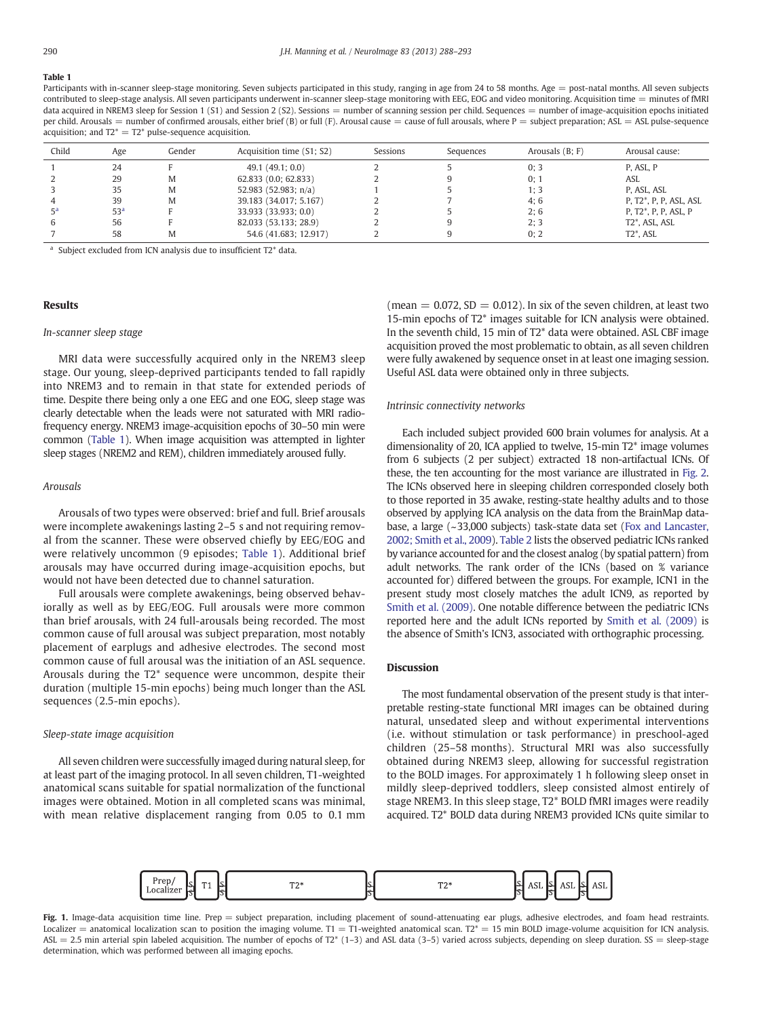### <span id="page-2-0"></span>Table 1

Participants with in-scanner sleep-stage monitoring. Seven subjects participated in this study, ranging in age from 24 to 58 months. Age = post-natal months. All seven subjects contributed to sleep-stage analysis. All seven participants underwent in-scanner sleep-stage monitoring with EEG, EOG and video monitoring. Acquisition time = minutes of fMRI data acquired in NREM3 sleep for Session 1 (S1) and Session 2 (S2). Sessions = number of scanning session per child. Sequences = number of image-acquisition epochs initiated per child. Arousals = number of confirmed arousals, either brief (B) or full (F). Arousal cause = cause of full arousals, where P = subject preparation; ASL = ASL pulse-sequence acquisition; and  $T2^* = T2^*$  pulse-sequence acquisition.

| Child | Age             | Gender | Acquisition time (S1; S2) | Sessions | Sequences | Arousals $(B; F)$ | Arousal cause:                      |
|-------|-----------------|--------|---------------------------|----------|-----------|-------------------|-------------------------------------|
|       | 24              |        | 49.1(49.1;0.0)            |          |           | 0:3               | P, ASL, P                           |
|       | 29              | M      | $62,833$ $(0.0; 62,833)$  |          |           | 0:1               | ASL                                 |
|       | 35              | M      | 52.983 (52.983; $n/a$ )   |          |           | 1:3               | P, ASL, ASL                         |
|       | 39              | M      | 39.183 (34.017; 5.167)    |          |           | 4;6               | P. T2 <sup>*</sup> , P. P. ASL, ASL |
| ςa    | 53 <sup>a</sup> |        | 33,933 (33,933; 0.0)      |          |           | 2:6               | P. T2*, P. P. ASL, P.               |
| 6     | 56              |        | 82.033 (53.133; 28.9)     |          |           | 2:3               | T <sub>2</sub> *, ASL, ASL          |
|       | 58              | M      | 54.6 (41.683; 12.917)     |          |           | 0:2               | $T2^*$ , ASL                        |

<sup>a</sup> Subject excluded from ICN analysis due to insufficient T2\* data.

#### Results

#### In-scanner sleep stage

MRI data were successfully acquired only in the NREM3 sleep stage. Our young, sleep-deprived participants tended to fall rapidly into NREM3 and to remain in that state for extended periods of time. Despite there being only a one EEG and one EOG, sleep stage was clearly detectable when the leads were not saturated with MRI radiofrequency energy. NREM3 image-acquisition epochs of 30–50 min were common (Table 1). When image acquisition was attempted in lighter sleep stages (NREM2 and REM), children immediately aroused fully.

#### Arousals

Arousals of two types were observed: brief and full. Brief arousals were incomplete awakenings lasting 2–5 s and not requiring removal from the scanner. These were observed chiefly by EEG/EOG and were relatively uncommon (9 episodes; Table 1). Additional brief arousals may have occurred during image-acquisition epochs, but would not have been detected due to channel saturation.

Full arousals were complete awakenings, being observed behaviorally as well as by EEG/EOG. Full arousals were more common than brief arousals, with 24 full-arousals being recorded. The most common cause of full arousal was subject preparation, most notably placement of earplugs and adhesive electrodes. The second most common cause of full arousal was the initiation of an ASL sequence. Arousals during the T2\* sequence were uncommon, despite their duration (multiple 15-min epochs) being much longer than the ASL sequences (2.5-min epochs).

#### Sleep-state image acquisition

All seven children were successfully imaged during natural sleep, for at least part of the imaging protocol. In all seven children, T1-weighted anatomical scans suitable for spatial normalization of the functional images were obtained. Motion in all completed scans was minimal, with mean relative displacement ranging from 0.05 to 0.1 mm (mean  $= 0.072$ , SD  $= 0.012$ ). In six of the seven children, at least two 15-min epochs of T2\* images suitable for ICN analysis were obtained. In the seventh child, 15 min of T2\* data were obtained. ASL CBF image acquisition proved the most problematic to obtain, as all seven children were fully awakened by sequence onset in at least one imaging session. Useful ASL data were obtained only in three subjects.

#### Intrinsic connectivity networks

Each included subject provided 600 brain volumes for analysis. At a dimensionality of 20, ICA applied to twelve, 15-min T2\* image volumes from 6 subjects (2 per subject) extracted 18 non-artifactual ICNs. Of these, the ten accounting for the most variance are illustrated in [Fig. 2.](#page-3-0) The ICNs observed here in sleeping children corresponded closely both to those reported in 35 awake, resting-state healthy adults and to those observed by applying ICA analysis on the data from the BrainMap database, a large (~33,000 subjects) task-state data set [\(Fox and Lancaster,](#page-5-0) [2002; Smith et al., 2009](#page-5-0)). [Table 2](#page-4-0) lists the observed pediatric ICNs ranked by variance accounted for and the closest analog (by spatial pattern) from adult networks. The rank order of the ICNs (based on % variance accounted for) differed between the groups. For example, ICN1 in the present study most closely matches the adult ICN9, as reported by [Smith et al. \(2009\)](#page-5-0). One notable difference between the pediatric ICNs reported here and the adult ICNs reported by [Smith et al. \(2009\)](#page-5-0) is the absence of Smith's ICN3, associated with orthographic processing.

#### **Discussion**

The most fundamental observation of the present study is that interpretable resting-state functional MRI images can be obtained during natural, unsedated sleep and without experimental interventions (i.e. without stimulation or task performance) in preschool-aged children (25–58 months). Structural MRI was also successfully obtained during NREM3 sleep, allowing for successful registration to the BOLD images. For approximately 1 h following sleep onset in mildly sleep-deprived toddlers, sleep consisted almost entirely of stage NREM3. In this sleep stage, T2\* BOLD fMRI images were readily acquired. T2\* BOLD data during NREM3 provided ICNs quite similar to



Fig. 1. Image-data acquisition time line. Prep = subject preparation, including placement of sound-attenuating ear plugs, adhesive electrodes, and foam head restraints. Localizer = anatomical localization scan to position the imaging volume. T1 = T1-weighted anatomical scan. T2\* = 15 min BOLD image-volume acquisition for ICN analysis. ASL = 2.5 min arterial spin labeled acquisition. The number of epochs of T2\* (1-3) and ASL data (3-5) varied across subjects, depending on sleep duration. SS = sleep-stage determination, which was performed between all imaging epochs.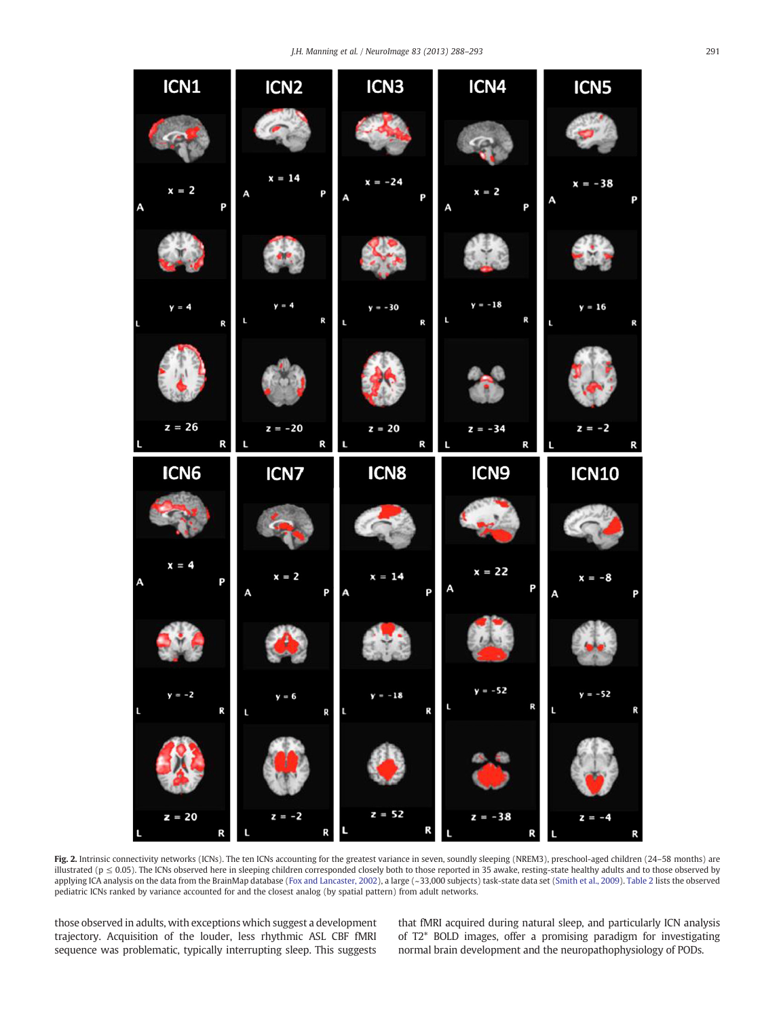<span id="page-3-0"></span>

**Fig. 2.** Intrinsic connectivity networks (ICNs). The ten ICNs accounting for the greatest variance in seven, soundly sleeping (NREM3), preschool-aged children (24–58 months) are illustrated (p ≤ 0.05). The ICNs observed here in sleeping children corresponded closely both to those reported in 35 awake, resting-state healthy adults and to those observed by applying ICA analysis on the data from the BrainMap database [\(Fox and Lancaster, 2002](#page-5-0)), a large (~33,000 subjects) task-state data set [\(Smith et al., 2009](#page-5-0)). [Table 2](#page-4-0) lists the observed pediatric ICNs ranked by variance accounted for and the closest analog (by spatial pattern) from adult networks.

those observed in adults, with exceptions which suggest a development trajectory. Acquisition of the louder, less rhythmic ASL CBF fMRI sequence was problematic, typically interrupting sleep. This suggests

that fMRI acquired during natural sleep, and particularly ICN analysis of T2\* BOLD images, offer a promising paradigm for investigating normal brain development and the neuropathophysiology of PODs.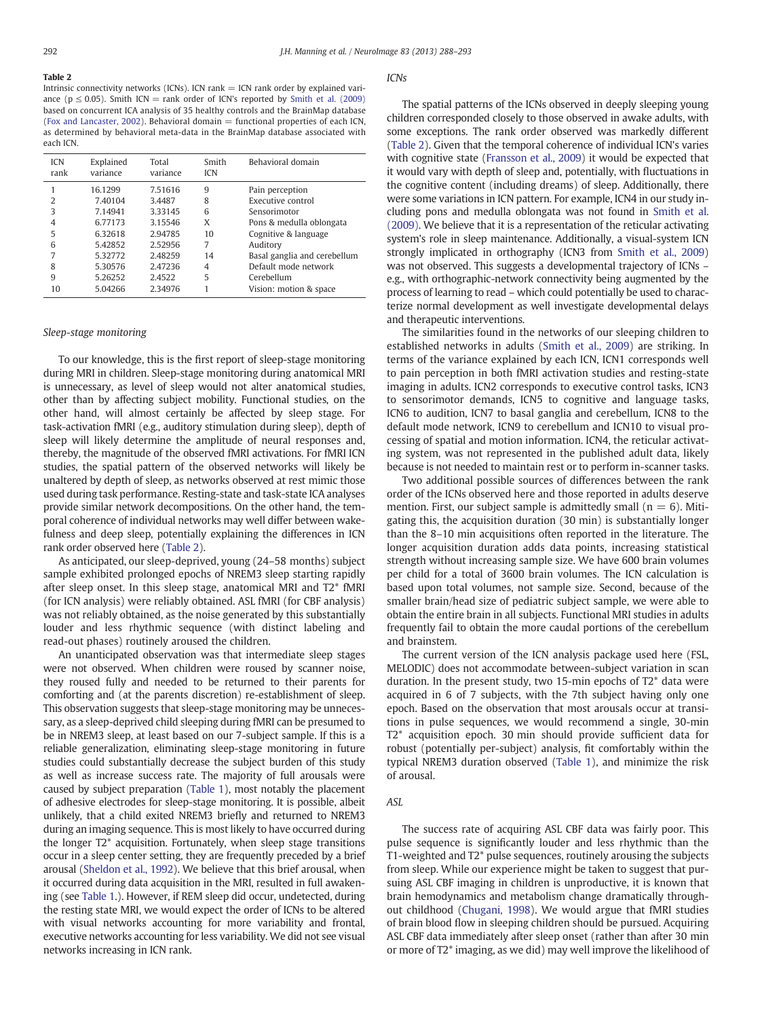# <span id="page-4-0"></span>Table 2

Intrinsic connectivity networks (ICNs). ICN rank  $=$  ICN rank order by explained variance ( $p \le 0.05$ ). Smith ICN = rank order of ICN's reported by [Smith et al. \(2009\)](#page-5-0) based on concurrent ICA analysis of 35 healthy controls and the BrainMap database ([Fox and Lancaster, 2002\)](#page-5-0). Behavioral domain  $=$  functional properties of each ICN, as determined by behavioral meta-data in the BrainMap database associated with each ICN.

| <b>ICN</b><br>rank | Explained<br>variance | Total<br>variance | Smith<br><b>ICN</b> | Behavioral domain            |
|--------------------|-----------------------|-------------------|---------------------|------------------------------|
|                    | 16.1299               | 7.51616           | 9                   | Pain perception              |
| 2                  | 7.40104               | 3.4487            | 8                   | Executive control            |
| 3                  | 7.14941               | 3.33145           | 6                   | Sensorimotor                 |
| 4                  | 6.77173               | 3.15546           | X                   | Pons & medulla oblongata     |
| 5                  | 6.32618               | 2.94785           | 10                  | Cognitive & language         |
| 6                  | 5.42852               | 2.52956           | 7                   | Auditory                     |
| 7                  | 5.32772               | 2.48259           | 14                  | Basal ganglia and cerebellum |
| 8                  | 5.30576               | 2.47236           | 4                   | Default mode network         |
| 9                  | 5.26252               | 2.4522            | 5                   | Cerebellum                   |
| 10                 | 5.04266               | 2.34976           |                     | Vision: motion & space       |

#### Sleep-stage monitoring

To our knowledge, this is the first report of sleep-stage monitoring during MRI in children. Sleep-stage monitoring during anatomical MRI is unnecessary, as level of sleep would not alter anatomical studies, other than by affecting subject mobility. Functional studies, on the other hand, will almost certainly be affected by sleep stage. For task-activation fMRI (e.g., auditory stimulation during sleep), depth of sleep will likely determine the amplitude of neural responses and, thereby, the magnitude of the observed fMRI activations. For fMRI ICN studies, the spatial pattern of the observed networks will likely be unaltered by depth of sleep, as networks observed at rest mimic those used during task performance. Resting-state and task-state ICA analyses provide similar network decompositions. On the other hand, the temporal coherence of individual networks may well differ between wakefulness and deep sleep, potentially explaining the differences in ICN rank order observed here (Table 2).

As anticipated, our sleep-deprived, young (24–58 months) subject sample exhibited prolonged epochs of NREM3 sleep starting rapidly after sleep onset. In this sleep stage, anatomical MRI and T2\* fMRI (for ICN analysis) were reliably obtained. ASL fMRI (for CBF analysis) was not reliably obtained, as the noise generated by this substantially louder and less rhythmic sequence (with distinct labeling and read-out phases) routinely aroused the children.

An unanticipated observation was that intermediate sleep stages were not observed. When children were roused by scanner noise, they roused fully and needed to be returned to their parents for comforting and (at the parents discretion) re-establishment of sleep. This observation suggests that sleep-stage monitoring may be unnecessary, as a sleep-deprived child sleeping during fMRI can be presumed to be in NREM3 sleep, at least based on our 7-subject sample. If this is a reliable generalization, eliminating sleep-stage monitoring in future studies could substantially decrease the subject burden of this study as well as increase success rate. The majority of full arousals were caused by subject preparation [\(Table 1\)](#page-2-0), most notably the placement of adhesive electrodes for sleep-stage monitoring. It is possible, albeit unlikely, that a child exited NREM3 briefly and returned to NREM3 during an imaging sequence. This is most likely to have occurred during the longer T2\* acquisition. Fortunately, when sleep stage transitions occur in a sleep center setting, they are frequently preceded by a brief arousal [\(Sheldon et al., 1992\)](#page-5-0). We believe that this brief arousal, when it occurred during data acquisition in the MRI, resulted in full awakening (see [Table 1.](#page-2-0)). However, if REM sleep did occur, undetected, during the resting state MRI, we would expect the order of ICNs to be altered with visual networks accounting for more variability and frontal, executive networks accounting for less variability. We did not see visual networks increasing in ICN rank.

#### ICNs

The spatial patterns of the ICNs observed in deeply sleeping young children corresponded closely to those observed in awake adults, with some exceptions. The rank order observed was markedly different (Table 2). Given that the temporal coherence of individual ICN's varies with cognitive state [\(Fransson et al., 2009](#page-5-0)) it would be expected that it would vary with depth of sleep and, potentially, with fluctuations in the cognitive content (including dreams) of sleep. Additionally, there were some variations in ICN pattern. For example, ICN4 in our study including pons and medulla oblongata was not found in [Smith et al.](#page-5-0) [\(2009\)](#page-5-0). We believe that it is a representation of the reticular activating system's role in sleep maintenance. Additionally, a visual-system ICN strongly implicated in orthography (ICN3 from [Smith et al., 2009](#page-5-0)) was not observed. This suggests a developmental trajectory of ICNs – e.g., with orthographic-network connectivity being augmented by the process of learning to read – which could potentially be used to characterize normal development as well investigate developmental delays and therapeutic interventions.

The similarities found in the networks of our sleeping children to established networks in adults ([Smith et al., 2009\)](#page-5-0) are striking. In terms of the variance explained by each ICN, ICN1 corresponds well to pain perception in both fMRI activation studies and resting-state imaging in adults. ICN2 corresponds to executive control tasks, ICN3 to sensorimotor demands, ICN5 to cognitive and language tasks, ICN6 to audition, ICN7 to basal ganglia and cerebellum, ICN8 to the default mode network, ICN9 to cerebellum and ICN10 to visual processing of spatial and motion information. ICN4, the reticular activating system, was not represented in the published adult data, likely because is not needed to maintain rest or to perform in-scanner tasks.

Two additional possible sources of differences between the rank order of the ICNs observed here and those reported in adults deserve mention. First, our subject sample is admittedly small ( $n = 6$ ). Mitigating this, the acquisition duration (30 min) is substantially longer than the 8–10 min acquisitions often reported in the literature. The longer acquisition duration adds data points, increasing statistical strength without increasing sample size. We have 600 brain volumes per child for a total of 3600 brain volumes. The ICN calculation is based upon total volumes, not sample size. Second, because of the smaller brain/head size of pediatric subject sample, we were able to obtain the entire brain in all subjects. Functional MRI studies in adults frequently fail to obtain the more caudal portions of the cerebellum and brainstem.

The current version of the ICN analysis package used here (FSL, MELODIC) does not accommodate between-subject variation in scan duration. In the present study, two 15-min epochs of T2\* data were acquired in 6 of 7 subjects, with the 7th subject having only one epoch. Based on the observation that most arousals occur at transitions in pulse sequences, we would recommend a single, 30-min T2\* acquisition epoch. 30 min should provide sufficient data for robust (potentially per-subject) analysis, fit comfortably within the typical NREM3 duration observed ([Table 1](#page-2-0)), and minimize the risk of arousal.

#### ASL

The success rate of acquiring ASL CBF data was fairly poor. This pulse sequence is significantly louder and less rhythmic than the T1-weighted and T2\* pulse sequences, routinely arousing the subjects from sleep. While our experience might be taken to suggest that pursuing ASL CBF imaging in children is unproductive, it is known that brain hemodynamics and metabolism change dramatically throughout childhood [\(Chugani, 1998\)](#page-5-0). We would argue that fMRI studies of brain blood flow in sleeping children should be pursued. Acquiring ASL CBF data immediately after sleep onset (rather than after 30 min or more of T2\* imaging, as we did) may well improve the likelihood of